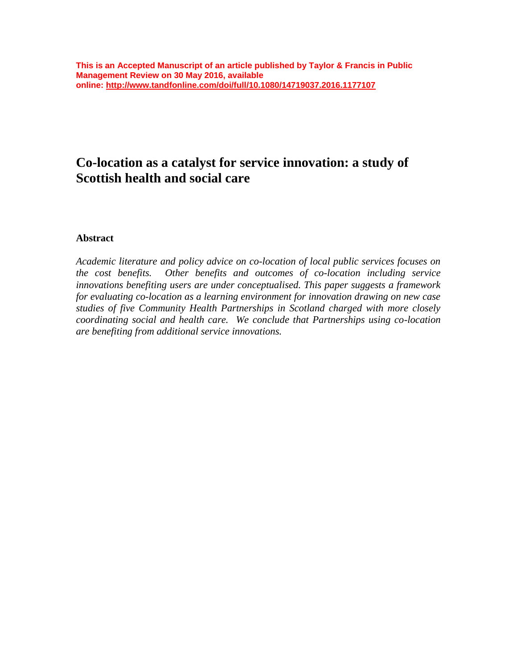# **Co-location as a catalyst for service innovation: a study of Scottish health and social care**

#### **Abstract**

*Academic literature and policy advice on co-location of local public services focuses on the cost benefits. Other benefits and outcomes of co-location including service innovations benefiting users are under conceptualised. This paper suggests a framework for evaluating co-location as a learning environment for innovation drawing on new case studies of five Community Health Partnerships in Scotland charged with more closely coordinating social and health care. We conclude that Partnerships using co-location are benefiting from additional service innovations.*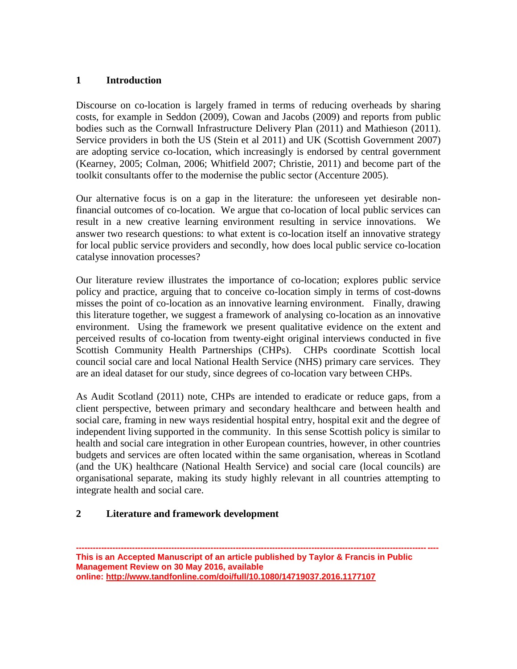#### **1 Introduction**

Discourse on co-location is largely framed in terms of reducing overheads by sharing costs, for example in Seddon (2009), Cowan and Jacobs (2009) and reports from public bodies such as the Cornwall Infrastructure Delivery Plan (2011) and Mathieson (2011). Service providers in both the US (Stein et al 2011) and UK (Scottish Government 2007) are adopting service co-location, which increasingly is endorsed by central government (Kearney, 2005; Colman, 2006; Whitfield 2007; Christie, 2011) and become part of the toolkit consultants offer to the modernise the public sector (Accenture 2005).

Our alternative focus is on a gap in the literature: the unforeseen yet desirable nonfinancial outcomes of co-location. We argue that co-location of local public services can result in a new creative learning environment resulting in service innovations. We answer two research questions: to what extent is co-location itself an innovative strategy for local public service providers and secondly, how does local public service co-location catalyse innovation processes?

Our literature review illustrates the importance of co-location; explores public service policy and practice, arguing that to conceive co-location simply in terms of cost-downs misses the point of co-location as an innovative learning environment. Finally, drawing this literature together, we suggest a framework of analysing co-location as an innovative environment. Using the framework we present qualitative evidence on the extent and perceived results of co-location from twenty-eight original interviews conducted in five Scottish Community Health Partnerships (CHPs). CHPs coordinate Scottish local council social care and local National Health Service (NHS) primary care services. They are an ideal dataset for our study, since degrees of co-location vary between CHPs.

As Audit Scotland (2011) note, CHPs are intended to eradicate or reduce gaps, from a client perspective, between primary and secondary healthcare and between health and social care, framing in new ways residential hospital entry, hospital exit and the degree of independent living supported in the community. In this sense Scottish policy is similar to health and social care integration in other European countries, however, in other countries budgets and services are often located within the same organisation, whereas in Scotland (and the UK) healthcare (National Health Service) and social care (local councils) are organisational separate, making its study highly relevant in all countries attempting to integrate health and social care.

### **2 Literature and framework development**

**<sup>---------------------------------------------------------------------------------------------------------------------------------</sup> This is an Accepted Manuscript of an article published by Taylor & Francis in Public Management Review on 30 May 2016, available online: http://www.tandfonline.com/doi/full/10.1080/14719037.2016.1177107**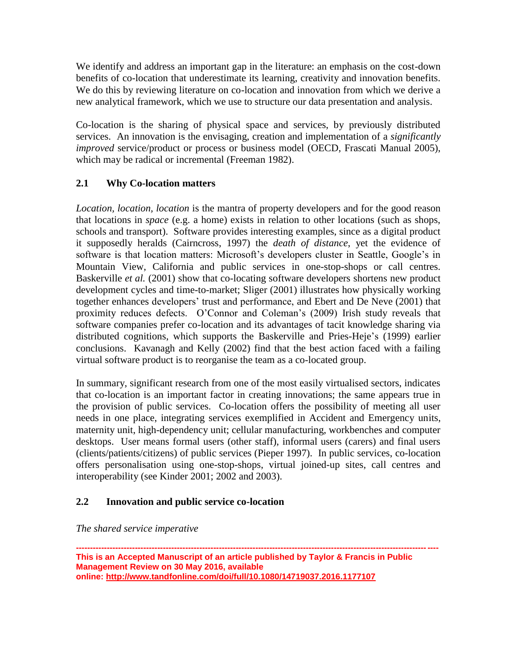We identify and address an important gap in the literature: an emphasis on the cost-down benefits of co-location that underestimate its learning, creativity and innovation benefits. We do this by reviewing literature on co-location and innovation from which we derive a new analytical framework, which we use to structure our data presentation and analysis.

Co-location is the sharing of physical space and services, by previously distributed services. An innovation is the envisaging, creation and implementation of a *significantly improved* service/product or process or business model (OECD, Frascati Manual 2005), which may be radical or incremental (Freeman 1982).

## **2.1 Why Co-location matters**

*Location, location, location* is the mantra of property developers and for the good reason that locations in *space* (e.g. a home) exists in relation to other locations (such as shops, schools and transport). Software provides interesting examples, since as a digital product it supposedly heralds (Cairncross, 1997) the *death of distance*, yet the evidence of software is that location matters: Microsoft's developers cluster in Seattle, Google's in Mountain View, California and public services in one-stop-shops or call centres. Baskerville *et al.* (2001) show that co-locating software developers shortens new product development cycles and time-to-market; Sliger (2001) illustrates how physically working together enhances developers' trust and performance, and Ebert and De Neve (2001) that proximity reduces defects. O'Connor and Coleman's (2009) Irish study reveals that software companies prefer co-location and its advantages of tacit knowledge sharing via distributed cognitions, which supports the Baskerville and Pries-Heje's (1999) earlier conclusions. Kavanagh and Kelly (2002) find that the best action faced with a failing virtual software product is to reorganise the team as a co-located group.

In summary, significant research from one of the most easily virtualised sectors, indicates that co-location is an important factor in creating innovations; the same appears true in the provision of public services. Co-location offers the possibility of meeting all user needs in one place, integrating services exemplified in Accident and Emergency units, maternity unit, high-dependency unit; cellular manufacturing, workbenches and computer desktops. User means formal users (other staff), informal users (carers) and final users (clients/patients/citizens) of public services (Pieper 1997). In public services, co-location offers personalisation using one-stop-shops, virtual joined-up sites, call centres and interoperability (see Kinder 2001; 2002 and 2003).

## **2.2 Innovation and public service co-location**

*The shared service imperative*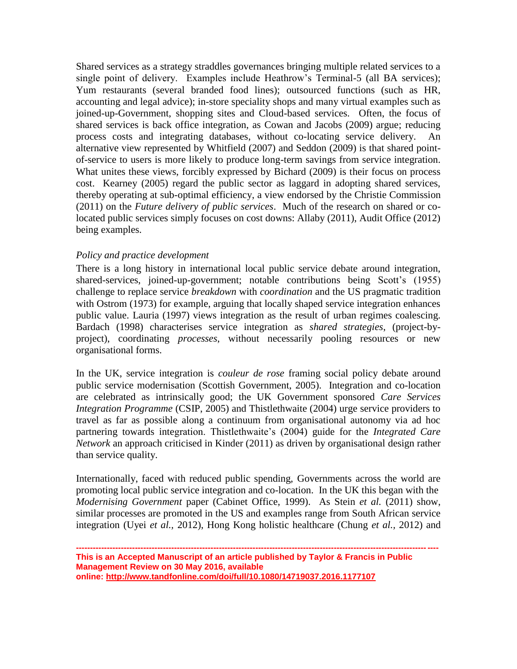Shared services as a strategy straddles governances bringing multiple related services to a single point of delivery. Examples include Heathrow's Terminal-5 (all BA services); Yum restaurants (several branded food lines); outsourced functions (such as HR, accounting and legal advice); in-store speciality shops and many virtual examples such as joined-up-Government, shopping sites and Cloud-based services. Often, the focus of shared services is back office integration, as Cowan and Jacobs (2009) argue; reducing process costs and integrating databases, without co-locating service delivery. An alternative view represented by Whitfield (2007) and Seddon (2009) is that shared pointof-service to users is more likely to produce long-term savings from service integration. What unites these views, forcibly expressed by Bichard (2009) is their focus on process cost. Kearney (2005) regard the public sector as laggard in adopting shared services, thereby operating at sub-optimal efficiency, a view endorsed by the Christie Commission (2011) on the *Future delivery of public services*. Much of the research on shared or colocated public services simply focuses on cost downs: Allaby (2011), Audit Office (2012) being examples.

#### *Policy and practice development*

There is a long history in international local public service debate around integration, shared-services, joined-up-government; notable contributions being Scott's (1955) challenge to replace service *breakdown* with *coordination* and the US pragmatic tradition with Ostrom (1973) for example, arguing that locally shaped service integration enhances public value. Lauria (1997) views integration as the result of urban regimes coalescing. Bardach (1998) characterises service integration as *shared strategies*, (project-byproject), coordinating *processes*, without necessarily pooling resources or new organisational forms.

In the UK, service integration is *couleur de rose* framing social policy debate around public service modernisation (Scottish Government, 2005). Integration and co-location are celebrated as intrinsically good; the UK Government sponsored *Care Services Integration Programme* (CSIP, 2005) and Thistlethwaite (2004) urge service providers to travel as far as possible along a continuum from organisational autonomy via ad hoc partnering towards integration. Thistlethwaite's (2004) guide for the *Integrated Care Network* an approach criticised in Kinder (2011) as driven by organisational design rather than service quality.

Internationally, faced with reduced public spending, Governments across the world are promoting local public service integration and co-location. In the UK this began with the *Modernising Government* paper (Cabinet Office, 1999). As Stein *et al.* (2011) show, similar processes are promoted in the US and examples range from South African service integration (Uyei *et al.,* 2012), Hong Kong holistic healthcare (Chung *et al.,* 2012) and

**<sup>---------------------------------------------------------------------------------------------------------------------------------</sup> This is an Accepted Manuscript of an article published by Taylor & Francis in Public Management Review on 30 May 2016, available online: http://www.tandfonline.com/doi/full/10.1080/14719037.2016.1177107**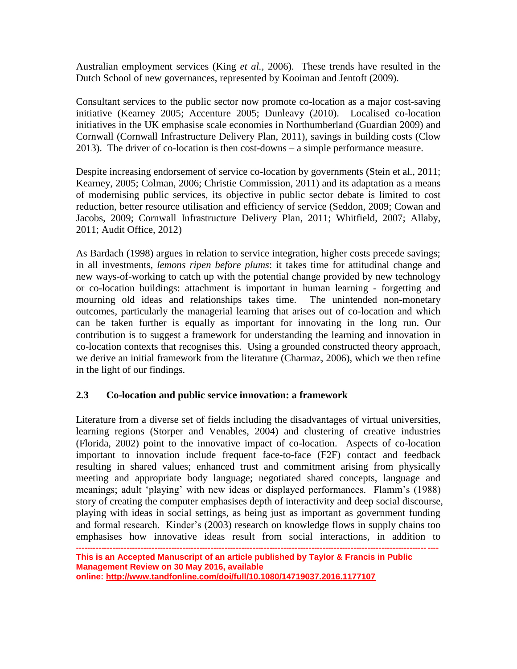Australian employment services (King *et al.,* 2006). These trends have resulted in the Dutch School of new governances, represented by Kooiman and Jentoft (2009).

Consultant services to the public sector now promote co-location as a major cost-saving initiative (Kearney 2005; Accenture 2005; Dunleavy (2010). Localised co-location initiatives in the UK emphasise scale economies in Northumberland (Guardian 2009) and Cornwall (Cornwall Infrastructure Delivery Plan, 2011), savings in building costs (Clow 2013). The driver of co-location is then cost-downs – a simple performance measure.

Despite increasing endorsement of service co-location by governments (Stein et al., 2011; Kearney, 2005; Colman, 2006; Christie Commission, 2011) and its adaptation as a means of modernising public services, its objective in public sector debate is limited to cost reduction, better resource utilisation and efficiency of service (Seddon, 2009; Cowan and Jacobs, 2009; Cornwall Infrastructure Delivery Plan, 2011; Whitfield, 2007; Allaby, 2011; Audit Office, 2012)

As Bardach (1998) argues in relation to service integration, higher costs precede savings; in all investments, *lemons ripen before plums*: it takes time for attitudinal change and new ways-of-working to catch up with the potential change provided by new technology or co-location buildings: attachment is important in human learning - forgetting and mourning old ideas and relationships takes time. The unintended non-monetary outcomes, particularly the managerial learning that arises out of co-location and which can be taken further is equally as important for innovating in the long run. Our contribution is to suggest a framework for understanding the learning and innovation in co-location contexts that recognises this. Using a grounded constructed theory approach, we derive an initial framework from the literature (Charmaz, 2006), which we then refine in the light of our findings.

### **2.3 Co-location and public service innovation: a framework**

Literature from a diverse set of fields including the disadvantages of virtual universities, learning regions (Storper and Venables, 2004) and clustering of creative industries (Florida, 2002) point to the innovative impact of co-location. Aspects of co-location important to innovation include frequent face-to-face (F2F) contact and feedback resulting in shared values; enhanced trust and commitment arising from physically meeting and appropriate body language; negotiated shared concepts, language and meanings; adult 'playing' with new ideas or displayed performances. Flamm's (1988) story of creating the computer emphasises depth of interactivity and deep social discourse, playing with ideas in social settings, as being just as important as government funding and formal research. Kinder's (2003) research on knowledge flows in supply chains too emphasises how innovative ideas result from social interactions, in addition to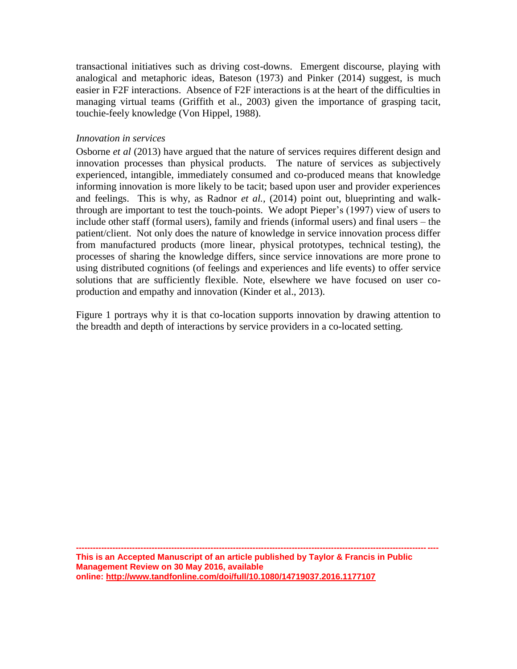transactional initiatives such as driving cost-downs. Emergent discourse, playing with analogical and metaphoric ideas, Bateson (1973) and Pinker (2014) suggest, is much easier in F2F interactions. Absence of F2F interactions is at the heart of the difficulties in managing virtual teams (Griffith et al., 2003) given the importance of grasping tacit, touchie-feely knowledge (Von Hippel, 1988).

#### *Innovation in services*

Osborne *et al* (2013) have argued that the nature of services requires different design and innovation processes than physical products. The nature of services as subjectively experienced, intangible, immediately consumed and co-produced means that knowledge informing innovation is more likely to be tacit; based upon user and provider experiences and feelings. This is why, as Radnor *et al.,* (2014) point out, blueprinting and walkthrough are important to test the touch-points. We adopt Pieper's (1997) view of users to include other staff (formal users), family and friends (informal users) and final users – the patient/client. Not only does the nature of knowledge in service innovation process differ from manufactured products (more linear, physical prototypes, technical testing), the processes of sharing the knowledge differs, since service innovations are more prone to using distributed cognitions (of feelings and experiences and life events) to offer service solutions that are sufficiently flexible. Note, elsewhere we have focused on user coproduction and empathy and innovation (Kinder et al., 2013).

Figure 1 portrays why it is that co-location supports innovation by drawing attention to the breadth and depth of interactions by service providers in a co-located setting.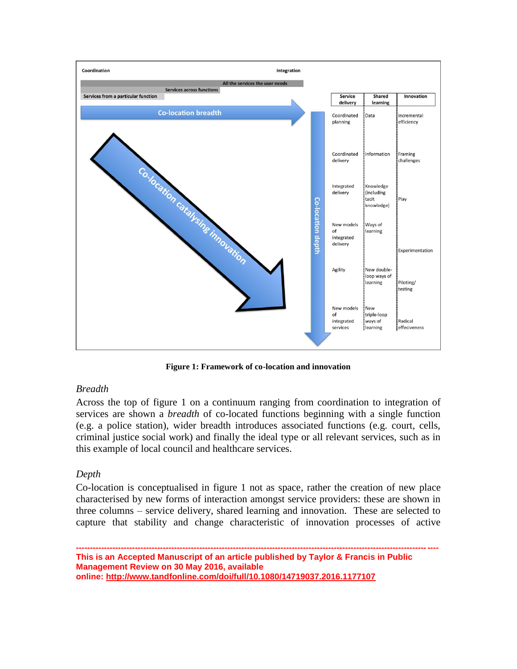

**Figure 1: Framework of co-location and innovation** 

### *Breadth*

Across the top of figure 1 on a continuum ranging from coordination to integration of services are shown a *breadth* of co-located functions beginning with a single function (e.g. a police station), wider breadth introduces associated functions (e.g. court, cells, criminal justice social work) and finally the ideal type or all relevant services, such as in this example of local council and healthcare services.

### *Depth*

Co-location is conceptualised in figure 1 not as space, rather the creation of new place characterised by new forms of interaction amongst service providers: these are shown in three columns – service delivery, shared learning and innovation. These are selected to capture that stability and change characteristic of innovation processes of active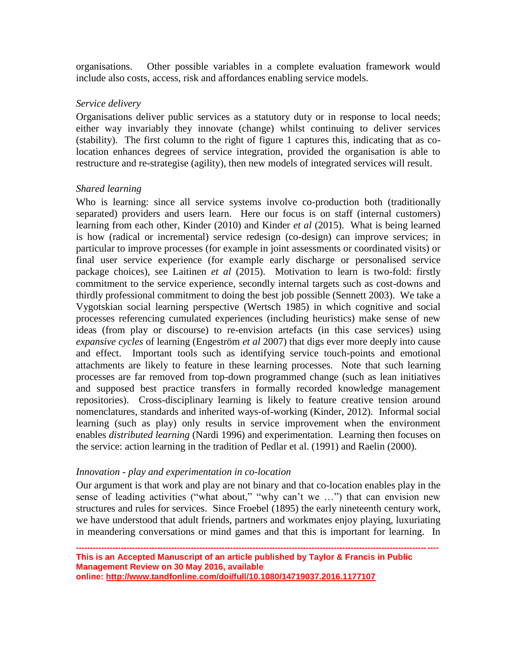organisations. Other possible variables in a complete evaluation framework would include also costs, access, risk and affordances enabling service models.

#### *Service delivery*

Organisations deliver public services as a statutory duty or in response to local needs; either way invariably they innovate (change) whilst continuing to deliver services (stability). The first column to the right of figure 1 captures this, indicating that as colocation enhances degrees of service integration, provided the organisation is able to restructure and re-strategise (agility), then new models of integrated services will result.

#### *Shared learning*

Who is learning: since all service systems involve co-production both (traditionally separated) providers and users learn. Here our focus is on staff (internal customers) learning from each other, Kinder (2010) and Kinder *et al* (2015). What is being learned is how (radical or incremental) service redesign (co-design) can improve services; in particular to improve processes (for example in joint assessments or coordinated visits) or final user service experience (for example early discharge or personalised service package choices), see Laitinen *et al* (2015). Motivation to learn is two-fold: firstly commitment to the service experience, secondly internal targets such as cost-downs and thirdly professional commitment to doing the best job possible (Sennett 2003). We take a Vygotskian social learning perspective (Wertsch 1985) in which cognitive and social processes referencing cumulated experiences (including heuristics) make sense of new ideas (from play or discourse) to re-envision artefacts (in this case services) using *expansive cycles* of learning (Engeström *et al* 2007) that digs ever more deeply into cause and effect. Important tools such as identifying service touch-points and emotional attachments are likely to feature in these learning processes. Note that such learning processes are far removed from top-down programmed change (such as lean initiatives and supposed best practice transfers in formally recorded knowledge management repositories). Cross-disciplinary learning is likely to feature creative tension around nomenclatures, standards and inherited ways-of-working (Kinder, 2012). Informal social learning (such as play) only results in service improvement when the environment enables *distributed learning* (Nardi 1996) and experimentation. Learning then focuses on the service: action learning in the tradition of Pedlar et al. (1991) and Raelin (2000).

#### *Innovation - play and experimentation in co-location*

Our argument is that work and play are not binary and that co-location enables play in the sense of leading activities ("what about," "why can't we …") that can envision new structures and rules for services. Since Froebel (1895) the early nineteenth century work, we have understood that adult friends, partners and workmates enjoy playing, luxuriating in meandering conversations or mind games and that this is important for learning. In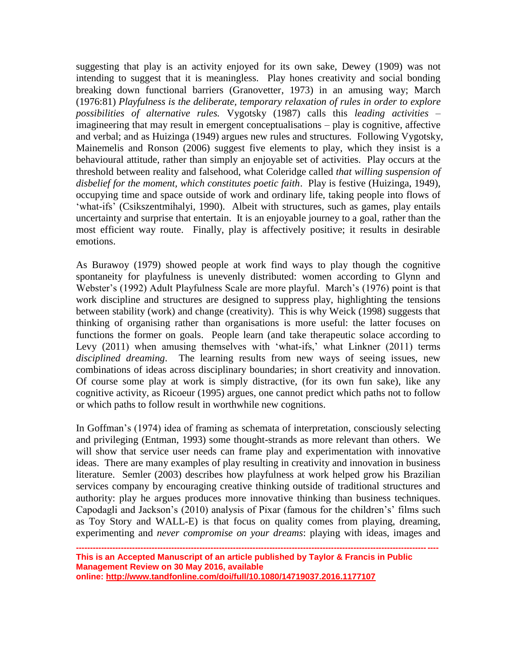suggesting that play is an activity enjoyed for its own sake, Dewey (1909) was not intending to suggest that it is meaningless. Play hones creativity and social bonding breaking down functional barriers (Granovetter, 1973) in an amusing way; March (1976:81) *Playfulness is the deliberate, temporary relaxation of rules in order to explore possibilities of alternative rules.* Vygotsky (1987) calls this *leading activities* – imagineering that may result in emergent conceptualisations – play is cognitive, affective and verbal; and as Huizinga (1949) argues new rules and structures. Following Vygotsky, Mainemelis and Ronson (2006) suggest five elements to play, which they insist is a behavioural attitude, rather than simply an enjoyable set of activities. Play occurs at the threshold between reality and falsehood, what Coleridge called *that willing suspension of disbelief for the moment, which constitutes poetic faith*. Play is festive (Huizinga, 1949), occupying time and space outside of work and ordinary life, taking people into flows of 'what-ifs' (Csikszentmihalyi, 1990). Albeit with structures, such as games, play entails uncertainty and surprise that entertain. It is an enjoyable journey to a goal, rather than the most efficient way route. Finally, play is affectively positive; it results in desirable emotions.

As Burawoy (1979) showed people at work find ways to play though the cognitive spontaneity for playfulness is unevenly distributed: women according to Glynn and Webster's (1992) Adult Playfulness Scale are more playful. March's (1976) point is that work discipline and structures are designed to suppress play, highlighting the tensions between stability (work) and change (creativity). This is why Weick (1998) suggests that thinking of organising rather than organisations is more useful: the latter focuses on functions the former on goals. People learn (and take therapeutic solace according to Levy (2011) when amusing themselves with 'what-ifs,' what Linkner (2011) terms *disciplined dreaming*. The learning results from new ways of seeing issues, new combinations of ideas across disciplinary boundaries; in short creativity and innovation. Of course some play at work is simply distractive, (for its own fun sake), like any cognitive activity, as Ricoeur (1995) argues, one cannot predict which paths not to follow or which paths to follow result in worthwhile new cognitions.

In Goffman's (1974) idea of framing as schemata of interpretation, consciously selecting and privileging (Entman, 1993) some thought-strands as more relevant than others. We will show that service user needs can frame play and experimentation with innovative ideas. There are many examples of play resulting in creativity and innovation in business literature. Semler (2003) describes how playfulness at work helped grow his Brazilian services company by encouraging creative thinking outside of traditional structures and authority: play he argues produces more innovative thinking than business techniques. Capodagli and Jackson's (2010) analysis of Pixar (famous for the children's' films such as Toy Story and WALL-E) is that focus on quality comes from playing, dreaming, experimenting and *never compromise on your dreams*: playing with ideas, images and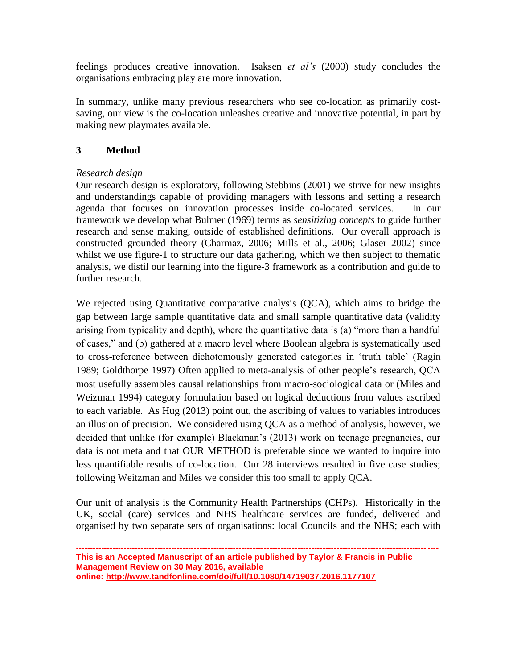feelings produces creative innovation. Isaksen *et al's* (2000) study concludes the organisations embracing play are more innovation.

In summary, unlike many previous researchers who see co-location as primarily costsaving, our view is the co-location unleashes creative and innovative potential, in part by making new playmates available.

### **3 Method**

#### *Research design*

Our research design is exploratory, following Stebbins (2001) we strive for new insights and understandings capable of providing managers with lessons and setting a research agenda that focuses on innovation processes inside co-located services. In our framework we develop what Bulmer (1969) terms as *sensitizing concepts* to guide further research and sense making, outside of established definitions. Our overall approach is constructed grounded theory (Charmaz, 2006; Mills et al., 2006; Glaser 2002) since whilst we use figure-1 to structure our data gathering, which we then subject to thematic analysis, we distil our learning into the figure-3 framework as a contribution and guide to further research.

We rejected using Quantitative comparative analysis (QCA), which aims to bridge the gap between large sample quantitative data and small sample quantitative data (validity arising from typicality and depth), where the quantitative data is (a) "more than a handful of cases," and (b) gathered at a macro level where Boolean algebra is systematically used to cross-reference between dichotomously generated categories in 'truth table' (Ragin 1989; Goldthorpe 1997) Often applied to meta-analysis of other people's research, QCA most usefully assembles causal relationships from macro-sociological data or (Miles and Weizman 1994) category formulation based on logical deductions from values ascribed to each variable. As Hug (2013) point out, the ascribing of values to variables introduces an illusion of precision. We considered using QCA as a method of analysis, however, we decided that unlike (for example) Blackman's (2013) work on teenage pregnancies, our data is not meta and that OUR METHOD is preferable since we wanted to inquire into less quantifiable results of co-location. Our 28 interviews resulted in five case studies; following Weitzman and Miles we consider this too small to apply QCA.

Our unit of analysis is the Community Health Partnerships (CHPs). Historically in the UK, social (care) services and NHS healthcare services are funded, delivered and organised by two separate sets of organisations: local Councils and the NHS; each with

**<sup>---------------------------------------------------------------------------------------------------------------------------------</sup> This is an Accepted Manuscript of an article published by Taylor & Francis in Public Management Review on 30 May 2016, available online: http://www.tandfonline.com/doi/full/10.1080/14719037.2016.1177107**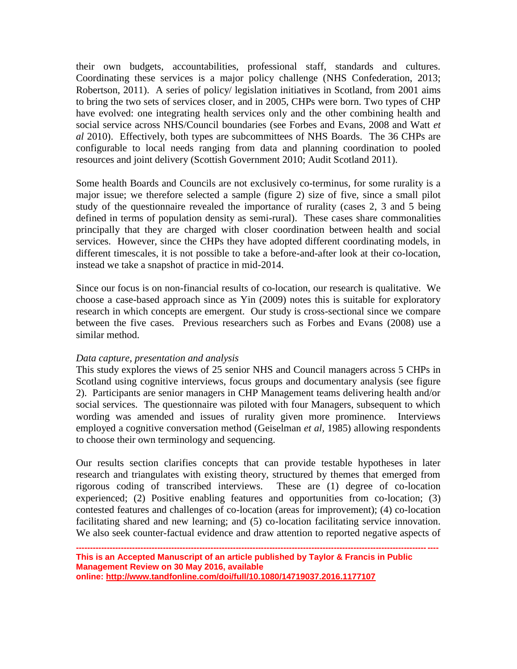their own budgets, accountabilities, professional staff, standards and cultures. Coordinating these services is a major policy challenge (NHS Confederation, 2013; Robertson, 2011). A series of policy/ legislation initiatives in Scotland, from 2001 aims to bring the two sets of services closer, and in 2005, CHPs were born. Two types of CHP have evolved: one integrating health services only and the other combining health and social service across NHS/Council boundaries (see Forbes and Evans, 2008 and Watt *et al* 2010). Effectively, both types are subcommittees of NHS Boards. The 36 CHPs are configurable to local needs ranging from data and planning coordination to pooled resources and joint delivery (Scottish Government 2010; Audit Scotland 2011).

Some health Boards and Councils are not exclusively co-terminus, for some rurality is a major issue; we therefore selected a sample (figure 2) size of five, since a small pilot study of the questionnaire revealed the importance of rurality (cases 2, 3 and 5 being defined in terms of population density as semi-rural). These cases share commonalities principally that they are charged with closer coordination between health and social services. However, since the CHPs they have adopted different coordinating models, in different timescales, it is not possible to take a before-and-after look at their co-location, instead we take a snapshot of practice in mid-2014.

Since our focus is on non-financial results of co-location, our research is qualitative. We choose a case-based approach since as Yin (2009) notes this is suitable for exploratory research in which concepts are emergent. Our study is cross-sectional since we compare between the five cases. Previous researchers such as Forbes and Evans (2008) use a similar method.

#### *Data capture, presentation and analysis*

This study explores the views of 25 senior NHS and Council managers across 5 CHPs in Scotland using cognitive interviews, focus groups and documentary analysis (see figure 2). Participants are senior managers in CHP Management teams delivering health and/or social services. The questionnaire was piloted with four Managers, subsequent to which wording was amended and issues of rurality given more prominence. Interviews employed a cognitive conversation method (Geiselman *et al,* 1985) allowing respondents to choose their own terminology and sequencing.

Our results section clarifies concepts that can provide testable hypotheses in later research and triangulates with existing theory, structured by themes that emerged from rigorous coding of transcribed interviews. These are (1) degree of co-location experienced; (2) Positive enabling features and opportunities from co-location; (3) contested features and challenges of co-location (areas for improvement); (4) co-location facilitating shared and new learning; and (5) co-location facilitating service innovation. We also seek counter-factual evidence and draw attention to reported negative aspects of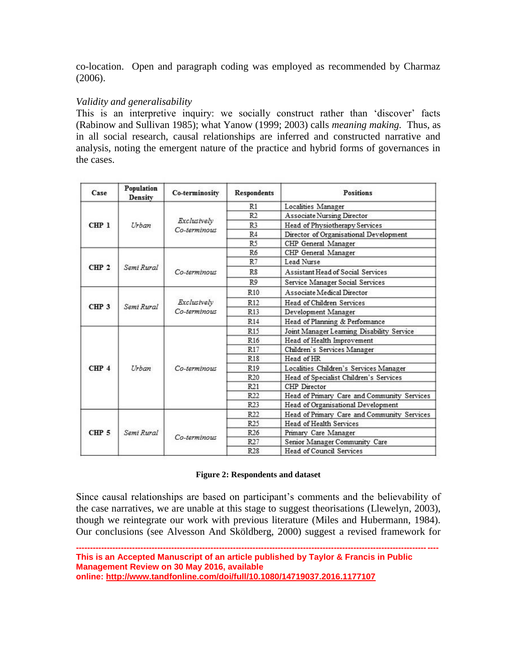co-location. Open and paragraph coding was employed as recommended by Charmaz (2006).

#### *Validity and generalisability*

This is an interpretive inquiry: we socially construct rather than 'discover' facts (Rabinow and Sullivan 1985); what Yanow (1999; 2003) calls *meaning making.* Thus, as in all social research, causal relationships are inferred and constructed narrative and analysis, noting the emergent nature of the practice and hybrid forms of governances in the cases.

| Case             | Population<br>Density | Co-terminosity              | <b>Respondents</b> | <b>Positions</b>                            |
|------------------|-----------------------|-----------------------------|--------------------|---------------------------------------------|
| CHP 1            | Urban                 | Exclusively<br>Co-terminous | R1                 | Localities Manager                          |
|                  |                       |                             | R <sub>2</sub>     | Associate Nursing Director                  |
|                  |                       |                             | R3                 | Head of Physiotherapy Services              |
|                  |                       |                             | R <sub>4</sub>     | Director of Organisational Development      |
|                  |                       |                             | R <sub>5</sub>     | CHP General Manager                         |
| CHP <sub>2</sub> | Semi Rural            | Co-terminous                | R6                 | CHP General Manager                         |
|                  |                       |                             | R7                 | Lead Nurse                                  |
|                  |                       |                             | R <sub>8</sub>     | Assistant Head of Social Services           |
|                  |                       |                             | R <sub>9</sub>     | Service Manager Social Services             |
| CHP <sub>3</sub> | Semi Rural            | Exclusively<br>Co-terminous | R <sub>10</sub>    | Associate Medical Director                  |
|                  |                       |                             | R <sub>12</sub>    | Head of Children Services                   |
|                  |                       |                             | R <sub>13</sub>    | Development Manager                         |
|                  |                       |                             | R14                | Head of Planning & Performance              |
| CHP <sub>4</sub> | Urban                 | Co-terminous                | R <sub>15</sub>    | Joint Manager Learning Disability Service   |
|                  |                       |                             | R <sub>16</sub>    | Head of Health Improvement                  |
|                  |                       |                             | R17                | Children's Services Manager                 |
|                  |                       |                             | <b>R18</b>         | Head of HR                                  |
|                  |                       |                             | R <sub>19</sub>    | Localities Children's Services Manager      |
|                  |                       |                             | R <sub>20</sub>    | Head of Specialist Children's Services      |
|                  |                       |                             | R <sub>21</sub>    | CHP Director                                |
|                  |                       |                             | R <sub>22</sub>    | Head of Primary Care and Community Services |
|                  |                       |                             | R <sub>2</sub> 3   | Head of Organisational Development          |
| CHP <sub>5</sub> | Semi Rural            | Co-terminous                | R <sub>22</sub>    | Head of Primary Care and Community Services |
|                  |                       |                             | R <sub>25</sub>    | Head of Health Services                     |
|                  |                       |                             | R <sub>26</sub>    | Primary Care Manager                        |
|                  |                       |                             | R <sub>27</sub>    | Senior Manager Community Care               |
|                  |                       |                             | R <sub>28</sub>    | Head of Council Services                    |

#### **Figure 2: Respondents and dataset**

Since causal relationships are based on participant's comments and the believability of the case narratives, we are unable at this stage to suggest theorisations (Llewelyn, 2003), though we reintegrate our work with previous literature (Miles and Hubermann, 1984). Our conclusions (see Alvesson And Sköldberg, 2000) suggest a revised framework for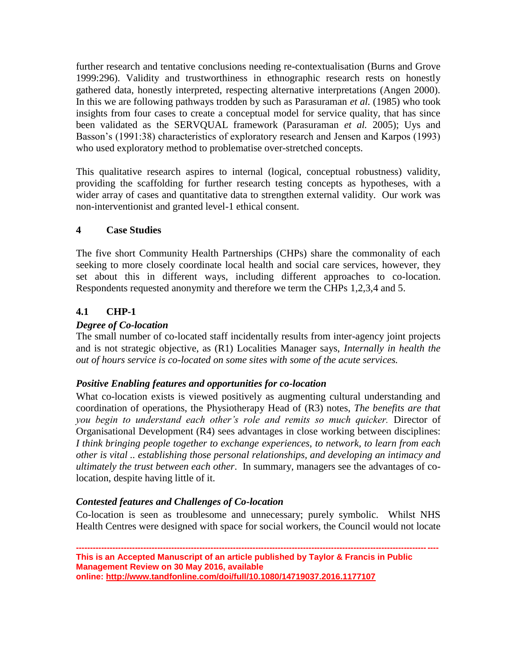further research and tentative conclusions needing re-contextualisation (Burns and Grove 1999:296). Validity and trustworthiness in ethnographic research rests on honestly gathered data, honestly interpreted, respecting alternative interpretations (Angen 2000). In this we are following pathways trodden by such as Parasuraman *et al.* (1985) who took insights from four cases to create a conceptual model for service quality, that has since been validated as the SERVQUAL framework (Parasuraman *et al.* 2005); Uys and Basson's (1991:38) characteristics of exploratory research and Jensen and Karpos (1993) who used exploratory method to problematise over-stretched concepts.

This qualitative research aspires to internal (logical, conceptual robustness) validity, providing the scaffolding for further research testing concepts as hypotheses, with a wider array of cases and quantitative data to strengthen external validity. Our work was non-interventionist and granted level-1 ethical consent.

#### **4 Case Studies**

The five short Community Health Partnerships (CHPs) share the commonality of each seeking to more closely coordinate local health and social care services, however, they set about this in different ways, including different approaches to co-location. Respondents requested anonymity and therefore we term the CHPs 1,2,3,4 and 5.

## **4.1 CHP-1**

### *Degree of Co-location*

The small number of co-located staff incidentally results from inter-agency joint projects and is not strategic objective, as (R1) Localities Manager says, *Internally in health the out of hours service is co-located on some sites with some of the acute services.*

### *Positive Enabling features and opportunities for co-location*

What co-location exists is viewed positively as augmenting cultural understanding and coordination of operations, the Physiotherapy Head of (R3) notes, *The benefits are that you begin to understand each other's role and remits so much quicker.* Director of Organisational Development (R4) sees advantages in close working between disciplines: *I think bringing people together to exchange experiences, to network, to learn from each other is vital .. establishing those personal relationships, and developing an intimacy and ultimately the trust between each other*. In summary, managers see the advantages of colocation, despite having little of it.

### *Contested features and Challenges of Co-location*

Co-location is seen as troublesome and unnecessary; purely symbolic. Whilst NHS Health Centres were designed with space for social workers, the Council would not locate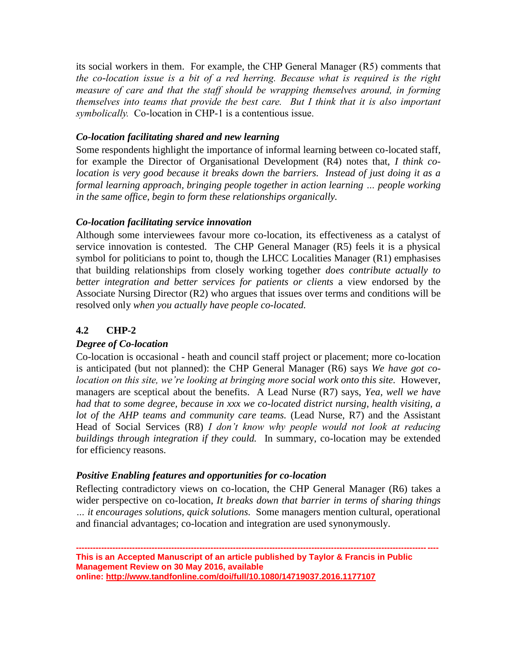its social workers in them. For example, the CHP General Manager (R5) comments that *the co-location issue is a bit of a red herring. Because what is required is the right measure of care and that the staff should be wrapping themselves around, in forming themselves into teams that provide the best care. But I think that it is also important symbolically.* Co-location in CHP-1 is a contentious issue.

#### *Co-location facilitating shared and new learning*

Some respondents highlight the importance of informal learning between co-located staff, for example the Director of Organisational Development (R4) notes that, *I think colocation is very good because it breaks down the barriers. Instead of just doing it as a formal learning approach, bringing people together in action learning … people working in the same office, begin to form these relationships organically.*

#### *Co-location facilitating service innovation*

Although some interviewees favour more co-location, its effectiveness as a catalyst of service innovation is contested. The CHP General Manager (R5) feels it is a physical symbol for politicians to point to, though the LHCC Localities Manager (R1) emphasises that building relationships from closely working together *does contribute actually to better integration and better services for patients or clients* a view endorsed by the Associate Nursing Director (R2) who argues that issues over terms and conditions will be resolved only *when you actually have people co-located.* 

## **4.2 CHP-2**

### *Degree of Co-location*

Co-location is occasional - heath and council staff project or placement; more co-location is anticipated (but not planned): the CHP General Manager (R6) says *We have got colocation on this site, we're looking at bringing more social work onto this site.* However, managers are sceptical about the benefits. A Lead Nurse (R7) says, *Yea, well we have had that to some degree, because in xxx we co-located district nursing, health visiting, a lot of the AHP teams and community care teams.* (Lead Nurse, R7) and the Assistant Head of Social Services (R8) *I don't know why people would not look at reducing buildings through integration if they could.* In summary, co-location may be extended for efficiency reasons.

### *Positive Enabling features and opportunities for co-location*

Reflecting contradictory views on co-location, the CHP General Manager (R6) takes a wider perspective on co-location, *It breaks down that barrier in terms of sharing things … it encourages solutions, quick solutions.* Some managers mention cultural, operational and financial advantages; co-location and integration are used synonymously.

**<sup>---------------------------------------------------------------------------------------------------------------------------------</sup> This is an Accepted Manuscript of an article published by Taylor & Francis in Public Management Review on 30 May 2016, available online: http://www.tandfonline.com/doi/full/10.1080/14719037.2016.1177107**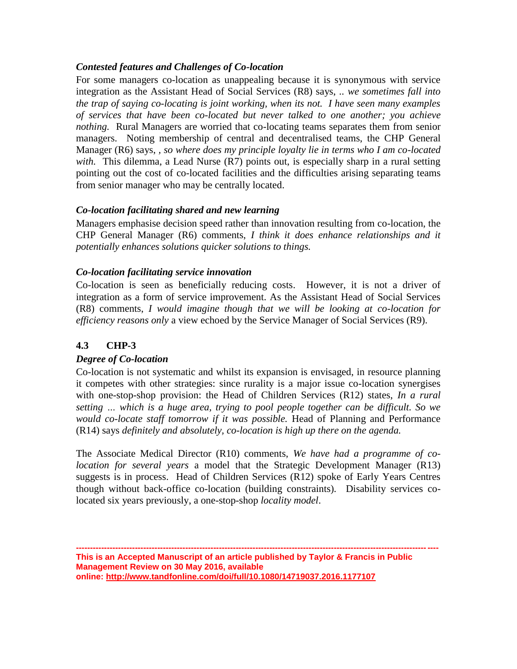## *Contested features and Challenges of Co-location*

For some managers co-location as unappealing because it is synonymous with service integration as the Assistant Head of Social Services (R8) says, *.. we sometimes fall into the trap of saying co-locating is joint working, when its not. I have seen many examples of services that have been co-located but never talked to one another; you achieve nothing.* Rural Managers are worried that co-locating teams separates them from senior managers. Noting membership of central and decentralised teams, the CHP General Manager (R6) says, *, so where does my principle loyalty lie in terms who I am co-located with.* This dilemma, a Lead Nurse (R7) points out, is especially sharp in a rural setting pointing out the cost of co-located facilities and the difficulties arising separating teams from senior manager who may be centrally located.

### *Co-location facilitating shared and new learning*

Managers emphasise decision speed rather than innovation resulting from co-location, the CHP General Manager (R6) comments, *I think it does enhance relationships and it potentially enhances solutions quicker solutions to things.* 

### *Co-location facilitating service innovation*

Co-location is seen as beneficially reducing costs. However, it is not a driver of integration as a form of service improvement. As the Assistant Head of Social Services (R8) comments, *I would imagine though that we will be looking at co-location for efficiency reasons only* a view echoed by the Service Manager of Social Services (R9).

## **4.3 CHP-3**

### *Degree of Co-location*

Co-location is not systematic and whilst its expansion is envisaged, in resource planning it competes with other strategies: since rurality is a major issue co-location synergises with one-stop-shop provision: the Head of Children Services (R12) states, *In a rural setting … which is a huge area, trying to pool people together can be difficult. So we would co-locate staff tomorrow if it was possible.* Head of Planning and Performance (R14) says *definitely and absolutely, co-location is high up there on the agenda.*

The Associate Medical Director (R10) comments, *We have had a programme of colocation for several years* a model that the Strategic Development Manager (R13) suggests is in process. Head of Children Services (R12) spoke of Early Years Centres though without back-office co-location (building constraints)*.* Disability services colocated six years previously, a one-stop-shop *locality model*.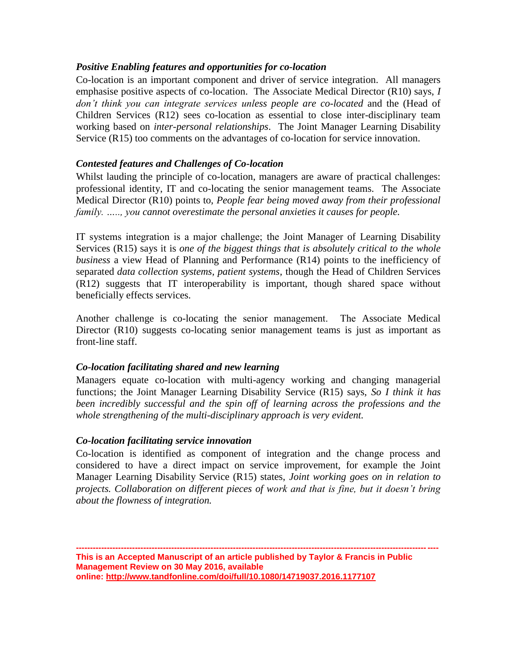#### *Positive Enabling features and opportunities for co-location*

Co-location is an important component and driver of service integration. All managers emphasise positive aspects of co-location. The Associate Medical Director (R10) says, *I don't think you can integrate services unless people are co-located* and the (Head of Children Services (R12) sees co-location as essential to close inter-disciplinary team working based on *inter-personal relationships*. The Joint Manager Learning Disability Service (R15) too comments on the advantages of co-location for service innovation.

#### *Contested features and Challenges of Co-location*

Whilst lauding the principle of co-location, managers are aware of practical challenges: professional identity, IT and co-locating the senior management teams. The Associate Medical Director (R10) points to, *People fear being moved away from their professional family. ….., you cannot overestimate the personal anxieties it causes for people.* 

IT systems integration is a major challenge; the Joint Manager of Learning Disability Services (R15) says it is *one of the biggest things that is absolutely critical to the whole business* a view Head of Planning and Performance (R14) points to the inefficiency of separated *data collection systems, patient systems,* though the Head of Children Services (R12) suggests that IT interoperability is important, though shared space without beneficially effects services.

Another challenge is co-locating the senior management. The Associate Medical Director (R10) suggests co-locating senior management teams is just as important as front-line staff.

#### *Co-location facilitating shared and new learning*

Managers equate co-location with multi-agency working and changing managerial functions; the Joint Manager Learning Disability Service (R15) says, *So I think it has been incredibly successful and the spin off of learning across the professions and the whole strengthening of the multi-disciplinary approach is very evident.* 

#### *Co-location facilitating service innovation*

Co-location is identified as component of integration and the change process and considered to have a direct impact on service improvement, for example the Joint Manager Learning Disability Service (R15) states, *Joint working goes on in relation to projects. Collaboration on different pieces of work and that is fine, but it doesn't bring about the flowness of integration.*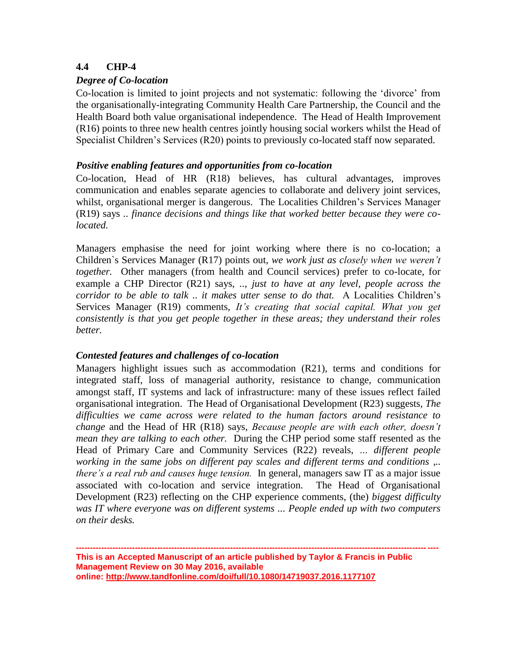#### **4.4 CHP-4**

#### *Degree of Co-location*

Co-location is limited to joint projects and not systematic: following the 'divorce' from the organisationally-integrating Community Health Care Partnership, the Council and the Health Board both value organisational independence. The Head of Health Improvement (R16) points to three new health centres jointly housing social workers whilst the Head of Specialist Children's Services (R20) points to previously co-located staff now separated.

#### *Positive enabling features and opportunities from co-location*

Co-location, Head of HR (R18) believes, has cultural advantages, improves communication and enables separate agencies to collaborate and delivery joint services, whilst, organisational merger is dangerous. The Localities Children's Services Manager (R19) says *.. finance decisions and things like that worked better because they were colocated.* 

Managers emphasise the need for joint working where there is no co-location; a Children`s Services Manager (R17) points out, *we work just as closely when we weren't together.* Other managers (from health and Council services) prefer to co-locate, for example a CHP Director (R21) says, *.., just to have at any level, people across the corridor to be able to talk .. it makes utter sense to do that.* A Localities Children's Services Manager (R19) comments, *It's creating that social capital. What you get consistently is that you get people together in these areas; they understand their roles better.* 

#### *Contested features and challenges of co-location*

Managers highlight issues such as accommodation (R21), terms and conditions for integrated staff, loss of managerial authority, resistance to change, communication amongst staff, IT systems and lack of infrastructure: many of these issues reflect failed organisational integration. The Head of Organisational Development (R23) suggests, *The difficulties we came across were related to the human factors around resistance to change* and the Head of HR (R18) says, *Because people are with each other, doesn't mean they are talking to each other.* During the CHP period some staff resented as the Head of Primary Care and Community Services (R22) reveals, *… different people working in the same jobs on different pay scales and different terms and conditions ,.. there's a real rub and causes huge tension.* In general, managers saw IT as a major issue associated with co-location and service integration. The Head of Organisational Development (R23) reflecting on the CHP experience comments, (the) *biggest difficulty was IT where everyone was on different systems ... People ended up with two computers on their desks.*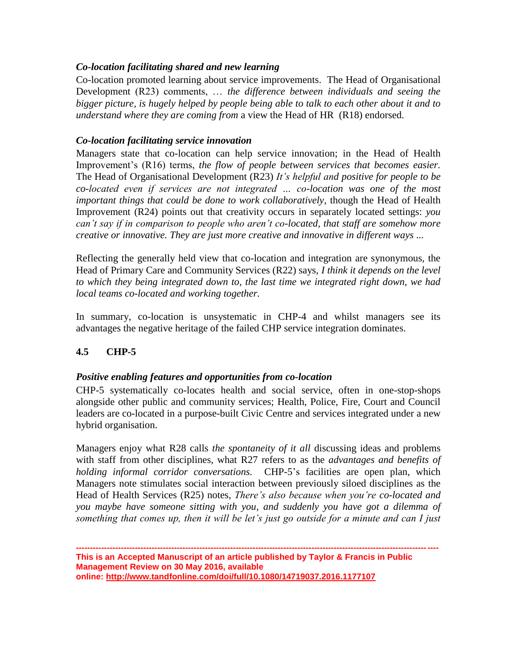## *Co-location facilitating shared and new learning*

Co-location promoted learning about service improvements. The Head of Organisational Development (R23) comments, … *the difference between individuals and seeing the bigger picture, is hugely helped by people being able to talk to each other about it and to understand where they are coming from* a view the Head of HR (R18) endorsed.

### *Co-location facilitating service innovation*

Managers state that co-location can help service innovation; in the Head of Health Improvement's (R16) terms, *the flow of people between services that becomes easier.*  The Head of Organisational Development (R23) *It's helpful and positive for people to be co-located even if services are not integrated … co-location was one of the most important things that could be done to work collaboratively,* though the Head of Health Improvement (R24) points out that creativity occurs in separately located settings: *you can't say if in comparison to people who aren't co-located, that staff are somehow more creative or innovative. They are just more creative and innovative in different ways ...* 

Reflecting the generally held view that co-location and integration are synonymous, the Head of Primary Care and Community Services (R22) says, *I think it depends on the level to which they being integrated down to, the last time we integrated right down, we had local teams co-located and working together.* 

In summary, co-location is unsystematic in CHP-4 and whilst managers see its advantages the negative heritage of the failed CHP service integration dominates.

## **4.5 CHP-5**

### *Positive enabling features and opportunities from co-location*

CHP-5 systematically co-locates health and social service, often in one-stop-shops alongside other public and community services; Health, Police, Fire, Court and Council leaders are co-located in a purpose-built Civic Centre and services integrated under a new hybrid organisation.

Managers enjoy what R28 calls *the spontaneity of it all* discussing ideas and problems with staff from other disciplines, what R27 refers to as the *advantages and benefits of holding informal corridor conversations.* CHP-5's facilities are open plan, which Managers note stimulates social interaction between previously siloed disciplines as the Head of Health Services (R25) notes, *There's also because when you're co-located and you maybe have someone sitting with you, and suddenly you have got a dilemma of something that comes up, then it will be let's just go outside for a minute and can I just*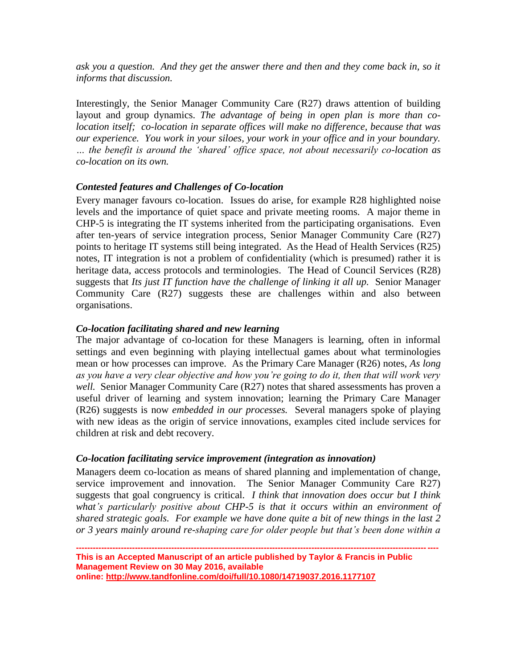*ask you a question. And they get the answer there and then and they come back in, so it informs that discussion.* 

Interestingly, the Senior Manager Community Care (R27) draws attention of building layout and group dynamics. *The advantage of being in open plan is more than colocation itself; co-location in separate offices will make no difference, because that was our experience. You work in your siloes, your work in your office and in your boundary. … the benefit is around the 'shared' office space, not about necessarily co-location as co-location on its own.*

#### *Contested features and Challenges of Co-location*

Every manager favours co-location. Issues do arise, for example R28 highlighted noise levels and the importance of quiet space and private meeting rooms. A major theme in CHP-5 is integrating the IT systems inherited from the participating organisations. Even after ten-years of service integration process, Senior Manager Community Care (R27) points to heritage IT systems still being integrated. As the Head of Health Services (R25) notes, IT integration is not a problem of confidentiality (which is presumed) rather it is heritage data, access protocols and terminologies. The Head of Council Services (R28) suggests that *Its just IT function have the challenge of linking it all up.* Senior Manager Community Care (R27) suggests these are challenges within and also between organisations.

#### *Co-location facilitating shared and new learning*

The major advantage of co-location for these Managers is learning, often in informal settings and even beginning with playing intellectual games about what terminologies mean or how processes can improve. As the Primary Care Manager (R26) notes, *As long as you have a very clear objective and how you're going to do it, then that will work very well.* Senior Manager Community Care (R27) notes that shared assessments has proven a useful driver of learning and system innovation; learning the Primary Care Manager (R26) suggests is now *embedded in our processes.* Several managers spoke of playing with new ideas as the origin of service innovations, examples cited include services for children at risk and debt recovery.

#### *Co-location facilitating service improvement (integration as innovation)*

Managers deem co-location as means of shared planning and implementation of change, service improvement and innovation. The Senior Manager Community Care R27) suggests that goal congruency is critical. *I think that innovation does occur but I think what's particularly positive about CHP-5 is that it occurs within an environment of shared strategic goals. For example we have done quite a bit of new things in the last 2 or 3 years mainly around re-shaping care for older people but that's been done within a*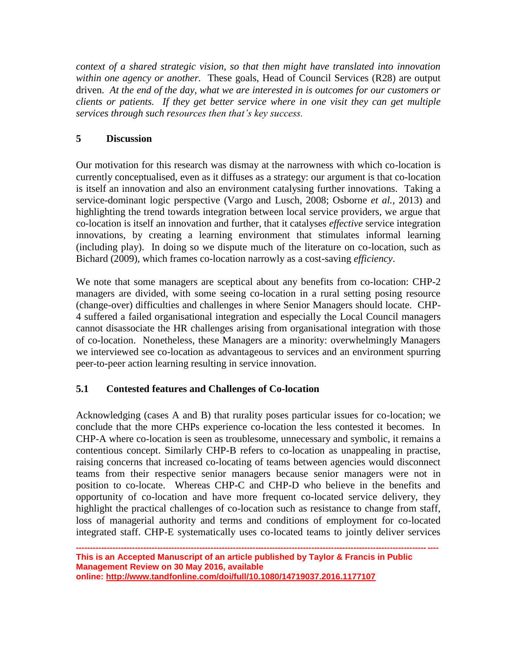*context of a shared strategic vision, so that then might have translated into innovation within one agency or another.* These goals, Head of Council Services (R28) are output driven. *At the end of the day, what we are interested in is outcomes for our customers or clients or patients. If they get better service where in one visit they can get multiple services through such resources then that's key success.*

## **5 Discussion**

Our motivation for this research was dismay at the narrowness with which co-location is currently conceptualised, even as it diffuses as a strategy: our argument is that co-location is itself an innovation and also an environment catalysing further innovations. Taking a service-dominant logic perspective (Vargo and Lusch, 2008; Osborne *et al.,* 2013) and highlighting the trend towards integration between local service providers, we argue that co-location is itself an innovation and further, that it catalyses *effective* service integration innovations, by creating a learning environment that stimulates informal learning (including play). In doing so we dispute much of the literature on co-location, such as Bichard (2009), which frames co-location narrowly as a cost-saving *efficiency*.

We note that some managers are sceptical about any benefits from co-location: CHP-2 managers are divided, with some seeing co-location in a rural setting posing resource (change-over) difficulties and challenges in where Senior Managers should locate. CHP-4 suffered a failed organisational integration and especially the Local Council managers cannot disassociate the HR challenges arising from organisational integration with those of co-location. Nonetheless, these Managers are a minority: overwhelmingly Managers we interviewed see co-location as advantageous to services and an environment spurring peer-to-peer action learning resulting in service innovation.

### **5.1 Contested features and Challenges of Co-location**

Acknowledging (cases A and B) that rurality poses particular issues for co-location; we conclude that the more CHPs experience co-location the less contested it becomes. In CHP-A where co-location is seen as troublesome, unnecessary and symbolic, it remains a contentious concept. Similarly CHP-B refers to co-location as unappealing in practise, raising concerns that increased co-locating of teams between agencies would disconnect teams from their respective senior managers because senior managers were not in position to co-locate. Whereas CHP-C and CHP-D who believe in the benefits and opportunity of co-location and have more frequent co-located service delivery, they highlight the practical challenges of co-location such as resistance to change from staff, loss of managerial authority and terms and conditions of employment for co-located integrated staff. CHP-E systematically uses co-located teams to jointly deliver services

**<sup>---------------------------------------------------------------------------------------------------------------------------------</sup> This is an Accepted Manuscript of an article published by Taylor & Francis in Public Management Review on 30 May 2016, available online: http://www.tandfonline.com/doi/full/10.1080/14719037.2016.1177107**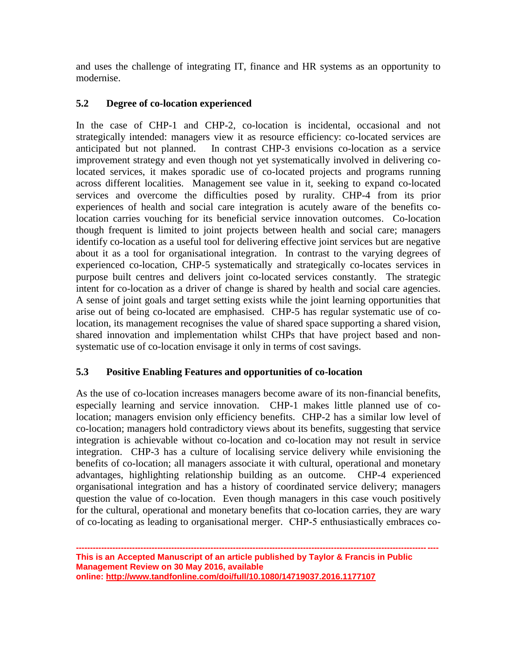and uses the challenge of integrating IT, finance and HR systems as an opportunity to modernise.

## **5.2 Degree of co-location experienced**

In the case of CHP-1 and CHP-2, co-location is incidental, occasional and not strategically intended: managers view it as resource efficiency: co-located services are anticipated but not planned. In contrast CHP-3 envisions co-location as a service improvement strategy and even though not yet systematically involved in delivering colocated services, it makes sporadic use of co-located projects and programs running across different localities. Management see value in it, seeking to expand co-located services and overcome the difficulties posed by rurality. CHP-4 from its prior experiences of health and social care integration is acutely aware of the benefits colocation carries vouching for its beneficial service innovation outcomes. Co-location though frequent is limited to joint projects between health and social care; managers identify co-location as a useful tool for delivering effective joint services but are negative about it as a tool for organisational integration. In contrast to the varying degrees of experienced co-location, CHP-5 systematically and strategically co-locates services in purpose built centres and delivers joint co-located services constantly. The strategic intent for co-location as a driver of change is shared by health and social care agencies. A sense of joint goals and target setting exists while the joint learning opportunities that arise out of being co-located are emphasised. CHP-5 has regular systematic use of colocation, its management recognises the value of shared space supporting a shared vision, shared innovation and implementation whilst CHPs that have project based and nonsystematic use of co-location envisage it only in terms of cost savings.

## **5.3 Positive Enabling Features and opportunities of co-location**

As the use of co-location increases managers become aware of its non-financial benefits, especially learning and service innovation. CHP-1 makes little planned use of colocation; managers envision only efficiency benefits. CHP-2 has a similar low level of co-location; managers hold contradictory views about its benefits, suggesting that service integration is achievable without co-location and co-location may not result in service integration. CHP-3 has a culture of localising service delivery while envisioning the benefits of co-location; all managers associate it with cultural, operational and monetary advantages, highlighting relationship building as an outcome. CHP-4 experienced organisational integration and has a history of coordinated service delivery; managers question the value of co-location. Even though managers in this case vouch positively for the cultural, operational and monetary benefits that co-location carries, they are wary of co-locating as leading to organisational merger. CHP-5 enthusiastically embraces co-

**<sup>---------------------------------------------------------------------------------------------------------------------------------</sup> This is an Accepted Manuscript of an article published by Taylor & Francis in Public Management Review on 30 May 2016, available online: http://www.tandfonline.com/doi/full/10.1080/14719037.2016.1177107**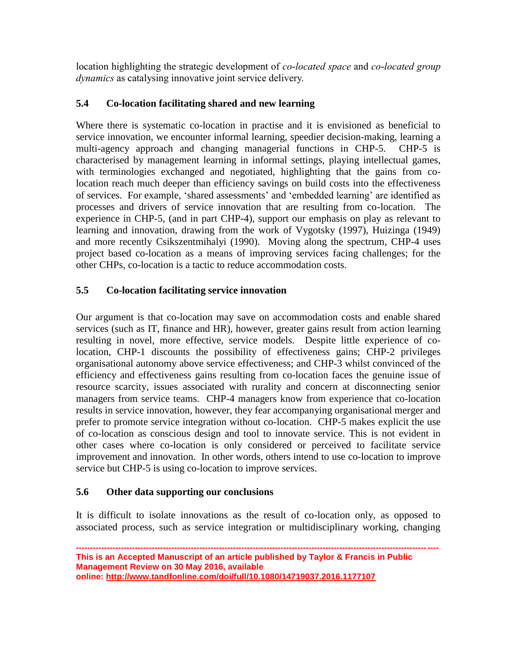location highlighting the strategic development of *co-located space* and *co-located group dynamics* as catalysing innovative joint service delivery.

## **5.4 Co-location facilitating shared and new learning**

Where there is systematic co-location in practise and it is envisioned as beneficial to service innovation, we encounter informal learning, speedier decision-making, learning a multi-agency approach and changing managerial functions in CHP-5. CHP-5 is characterised by management learning in informal settings, playing intellectual games, with terminologies exchanged and negotiated, highlighting that the gains from colocation reach much deeper than efficiency savings on build costs into the effectiveness of services. For example, 'shared assessments' and 'embedded learning' are identified as processes and drivers of service innovation that are resulting from co-location. The experience in CHP-5, (and in part CHP-4), support our emphasis on play as relevant to learning and innovation, drawing from the work of Vygotsky (1997), Huizinga (1949) and more recently Csikszentmihalyi (1990). Moving along the spectrum, CHP-4 uses project based co-location as a means of improving services facing challenges; for the other CHPs, co-location is a tactic to reduce accommodation costs.

## **5.5 Co-location facilitating service innovation**

Our argument is that co-location may save on accommodation costs and enable shared services (such as IT, finance and HR), however, greater gains result from action learning resulting in novel, more effective, service models. Despite little experience of colocation, CHP-1 discounts the possibility of effectiveness gains; CHP-2 privileges organisational autonomy above service effectiveness; and CHP-3 whilst convinced of the efficiency and effectiveness gains resulting from co-location faces the genuine issue of resource scarcity, issues associated with rurality and concern at disconnecting senior managers from service teams. CHP-4 managers know from experience that co-location results in service innovation, however, they fear accompanying organisational merger and prefer to promote service integration without co-location. CHP-5 makes explicit the use of co-location as conscious design and tool to innovate service. This is not evident in other cases where co-location is only considered or perceived to facilitate service improvement and innovation. In other words, others intend to use co-location to improve service but CHP-5 is using co-location to improve services.

## **5.6 Other data supporting our conclusions**

It is difficult to isolate innovations as the result of co-location only, as opposed to associated process, such as service integration or multidisciplinary working, changing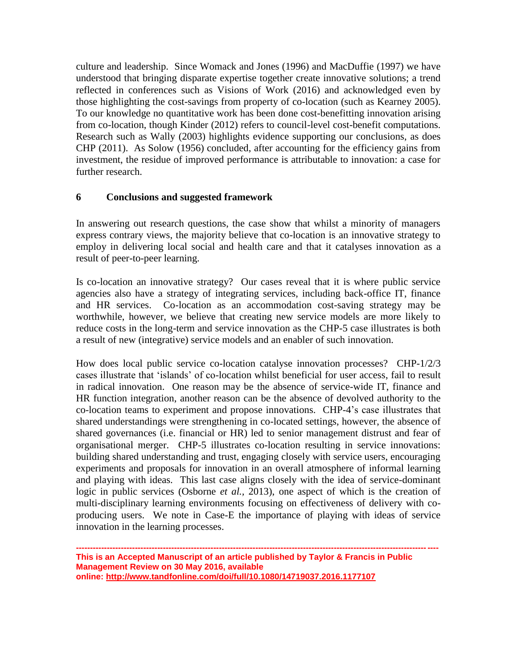culture and leadership. Since Womack and Jones (1996) and MacDuffie (1997) we have understood that bringing disparate expertise together create innovative solutions; a trend reflected in conferences such as Visions of Work (2016) and acknowledged even by those highlighting the cost-savings from property of co-location (such as Kearney 2005). To our knowledge no quantitative work has been done cost-benefitting innovation arising from co-location, though Kinder (2012) refers to council-level cost-benefit computations. Research such as Wally (2003) highlights evidence supporting our conclusions, as does CHP (2011). As Solow (1956) concluded, after accounting for the efficiency gains from investment, the residue of improved performance is attributable to innovation: a case for further research.

#### **6 Conclusions and suggested framework**

In answering out research questions, the case show that whilst a minority of managers express contrary views, the majority believe that co-location is an innovative strategy to employ in delivering local social and health care and that it catalyses innovation as a result of peer-to-peer learning.

Is co-location an innovative strategy? Our cases reveal that it is where public service agencies also have a strategy of integrating services, including back-office IT, finance and HR services. Co-location as an accommodation cost-saving strategy may be worthwhile, however, we believe that creating new service models are more likely to reduce costs in the long-term and service innovation as the CHP-5 case illustrates is both a result of new (integrative) service models and an enabler of such innovation.

How does local public service co-location catalyse innovation processes? CHP-1/2/3 cases illustrate that 'islands' of co-location whilst beneficial for user access, fail to result in radical innovation. One reason may be the absence of service-wide IT, finance and HR function integration, another reason can be the absence of devolved authority to the co-location teams to experiment and propose innovations. CHP-4's case illustrates that shared understandings were strengthening in co-located settings, however, the absence of shared governances (i.e. financial or HR) led to senior management distrust and fear of organisational merger. CHP-5 illustrates co-location resulting in service innovations: building shared understanding and trust, engaging closely with service users, encouraging experiments and proposals for innovation in an overall atmosphere of informal learning and playing with ideas. This last case aligns closely with the idea of service-dominant logic in public services (Osborne *et al.,* 2013), one aspect of which is the creation of multi-disciplinary learning environments focusing on effectiveness of delivery with coproducing users. We note in Case-E the importance of playing with ideas of service innovation in the learning processes.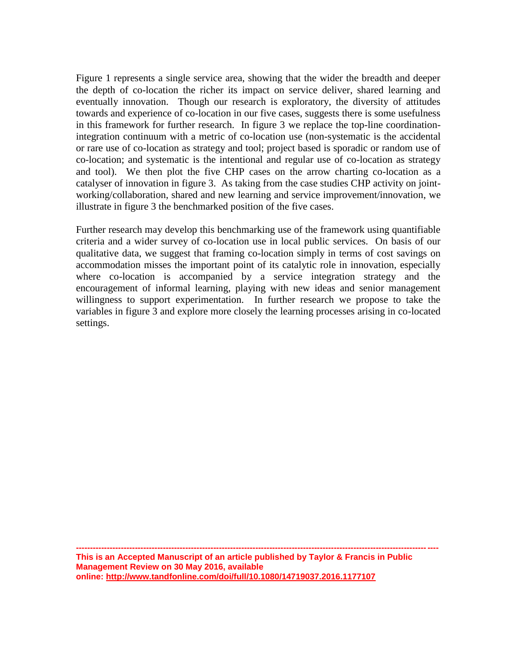Figure 1 represents a single service area, showing that the wider the breadth and deeper the depth of co-location the richer its impact on service deliver, shared learning and eventually innovation. Though our research is exploratory, the diversity of attitudes towards and experience of co-location in our five cases, suggests there is some usefulness in this framework for further research. In figure 3 we replace the top-line coordinationintegration continuum with a metric of co-location use (non-systematic is the accidental or rare use of co-location as strategy and tool; project based is sporadic or random use of co-location; and systematic is the intentional and regular use of co-location as strategy and tool). We then plot the five CHP cases on the arrow charting co-location as a catalyser of innovation in figure 3. As taking from the case studies CHP activity on jointworking/collaboration, shared and new learning and service improvement/innovation, we illustrate in figure 3 the benchmarked position of the five cases.

Further research may develop this benchmarking use of the framework using quantifiable criteria and a wider survey of co-location use in local public services. On basis of our qualitative data, we suggest that framing co-location simply in terms of cost savings on accommodation misses the important point of its catalytic role in innovation, especially where co-location is accompanied by a service integration strategy and the encouragement of informal learning, playing with new ideas and senior management willingness to support experimentation. In further research we propose to take the variables in figure 3 and explore more closely the learning processes arising in co-located settings.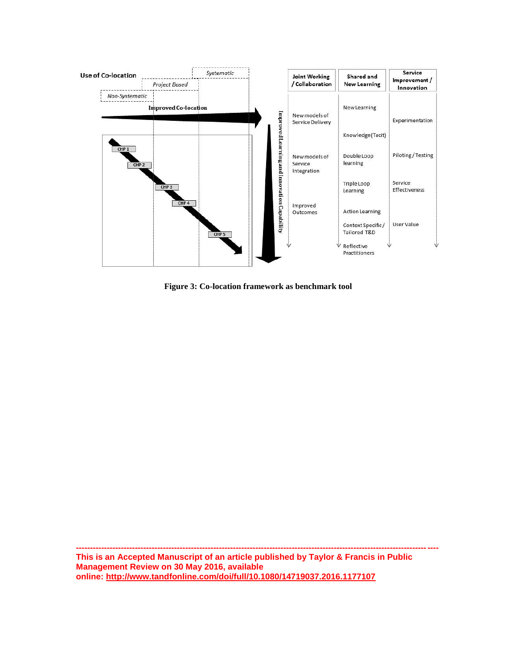

**Figure 3: Co-location framework as benchmark tool**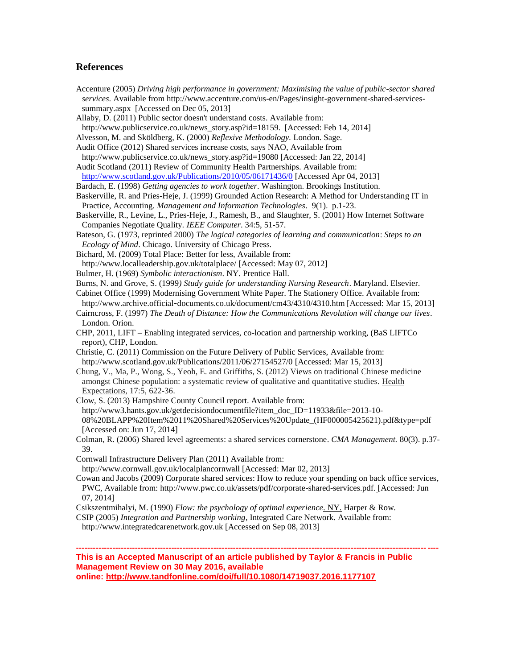#### **References**

- Accenture (2005) *Driving high performance in government: Maximising the value of public-sector shared services*. Available fro[m http://www.accenture.com/us-en/Pages/insight-government-shared-services](http://www.accenture.com/us-en/Pages/insight-government-shared-services-summary.aspx)[summary.aspx](http://www.accenture.com/us-en/Pages/insight-government-shared-services-summary.aspx) [Accessed on Dec 05, 2013]
- Allaby, D. (2011) Public sector doesn't understand costs. Available from:
- http://www.publicservice.co.uk/news\_story.asp?id=18159. [Accessed: Feb 14, 2014]
- Alvesson, M. and Sköldberg, K. (2000) *Reflexive Methodology.* London. Sage.
- Audit Office (2012) Shared services increase costs, says NAO, Available from
- http://www.publicservice.co.uk/news\_story.asp?id=19080 [Accessed: Jan 22, 2014] Audit Scotland (2011) Review of Community Health Partnerships. Available from:
- <http://www.scotland.gov.uk/Publications/2010/05/06171436/0> [Accessed Apr 04, 2013]
- Bardach, E. (1998) *Getting agencies to work together*. Washington. Brookings Institution.
- Baskerville, R. and Pries-Heje, J. (1999) Grounded Action Research: A Method for Understanding IT in Practice, Accounting. *Management and Information Technologies*. 9(1). p.1-23.
- Baskerville, R., Levine, L., Pries-Heje, J., Ramesh, B., and Slaughter, S. (2001) How Internet Software Companies Negotiate Quality. *IEEE Computer*. 34:5, 51-57.
- Bateson, G. (1973, reprinted 2000) *The logical categories of learning and communication*: *Steps to an Ecology of Mind*. Chicago. University of Chicago Press.
- Bichard, M. (2009) Total Place: Better for less, Available from:
- http://www.localleadership.gov.uk/totalplace/ [Accessed: May 07, 2012]
- Bulmer, H. (1969) *Symbolic interactionism*. NY. Prentice Hall.

Burns, N. and Grove, S. (1999*) Study guide for understanding Nursing Research*. Maryland. Elsevier. Cabinet Office (1999) Modernising Government White Paper. The Stationery Office. Available from:

- http://www.archive.official-documents.co.uk/document/cm43/4310/4310.htm [Accessed: Mar 15, 2013]
- Cairncross, F. (1997) *The Death of Distance: How the Communications Revolution will change our lives*. London. Orion.
- CHP, 2011, LIFT Enabling integrated services, co-location and partnership working, (BaS LIFTCo report), CHP, London.
- Christie, C. (2011) Commission on the Future Delivery of Public Services, Available from: http://www.scotland.gov.uk/Publications/2011/06/27154527/0 [Accessed: Mar 15, 2013]
- Chung, V., Ma, P., Wong, S., Yeoh, E. and Griffiths, S. (2012) Views on traditional Chinese medicine amongst Chinese population: a systematic review of qualitative and quantitative studies. Health Expectations, 17:5, 622-36.
- Clow, S. (2013) Hampshire County Council report. Available from:
- http://www3.hants.gov.uk/getdecisiondocumentfile?item\_doc\_ID=11933&file=2013-10-
- 08%20BLAPP%20Item%2011%20Shared%20Services%20Update\_(HF000005425621).pdf&type=pdf [Accessed on: Jun 17, 2014]
- Colman, R. (2006) Shared level agreements: a shared services cornerstone. *CMA Management.* 80(3). p.37- 39.
- Cornwall Infrastructure Delivery Plan (2011) Available from:
- http://www.cornwall.gov.uk/localplancornwall [Accessed: Mar 02, 2013]
- Cowan and Jacobs (2009) Corporate shared services: How to reduce your spending on back office services, PWC, Available from: http://www.pwc.co.uk/assets/pdf/corporate-shared-services.pdf. [Accessed: Jun 07, 2014]
- Csikszentmihalyi, M. (1990) *Flow: the psychology of optimal experience*. NY. Harper & Row.
- CSIP (2005) *Integration and Partnership working*, Integrated Care Network. Available from:
- http://www.integratedcarenetwork.gov.uk [Accessed on Sep 08, 2013]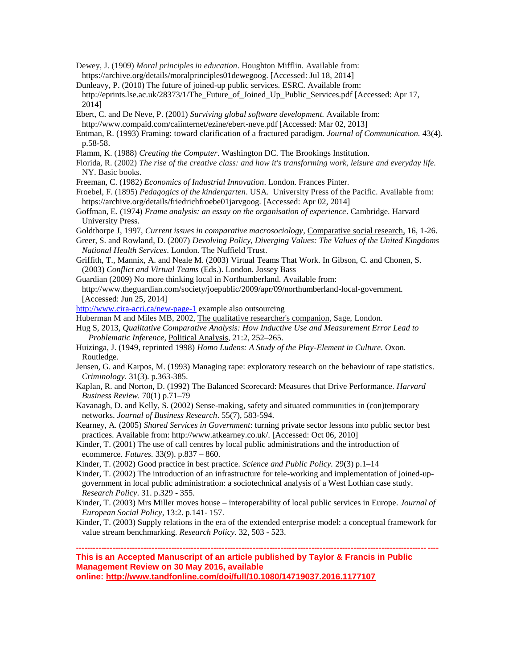- Dewey, J. (1909) *Moral principles in education*. Houghton Mifflin. Available from: https://archive.org/details/moralprinciples01dewegoog. [Accessed: Jul 18, 2014]
- Dunleavy, P. (2010) The future of joined-up public services. ESRC. Available from: http://eprints.lse.ac.uk/28373/1/The Future of Joined Up Public Services.pdf [Accessed: Apr 17, 2014]
- Ebert, C. and De Neve, P. (2001) *Surviving global software development.* Available from:
- http://www.compaid.com/caiinternet/ezine/ebert-neve.pdf [Accessed: Mar 02, 2013]
- Entman, R. (1993) Framing: toward clarification of a fractured paradigm. *Journal of Communication.* 43(4). p.58-58.
- Flamm, K. (1988) *Creating the Computer*. Washington DC. The Brookings Institution.
- Florida, R. (2002) *The rise of the creative class: and how it's transforming work, leisure and everyday life.*  NY. Basic books.
- Freeman, C. (1982) *Economics of Industrial Innovation*. London. Frances Pinter.
- Froebel, F. (1895) *Pedagogics of the kindergarten*. USA. University Press of the Pacific. Available from: https://archive.org/details/friedrichfroebe01jarvgoog. [Accessed: Apr 02, 2014]
- Goffman, E. (1974) *Frame analysis: an essay on the organisation of experience*. Cambridge. Harvard University Press.
- Goldthorpe J, 1997, *Current issues in comparative macrosociology*, Comparative social research, 16, 1-26.
- Greer, S. and Rowland, D. (2007) *Devolving Policy, Diverging Values: The Values of the United Kingdoms National Health Services*. London. The Nuffield Trust.
- Griffith, T., Mannix, A. and Neale M. (2003) Virtual Teams That Work. In Gibson, C. and Chonen, S. (2003) *Conflict and Virtual Teams* (Eds.). London. Jossey Bass
- Guardian (2009) No more thinking local in Northumberland. Available from: http://www.theguardian.com/society/joepublic/2009/apr/09/northumberland-local-government. [Accessed: Jun 25, 2014]
- <http://www.cira-acri.ca/new-page-1> example also outsourcing
- Huberman M and Miles MB, 2002, The qualitative researcher's companion, Sage, London.
- Hug S, 2013, *Qualitative Comparative Analysis: How Inductive Use and Measurement Error Lead to Problematic Inference*, Political Analysis*,* 21:2, 252–265.
- Huizinga, J. (1949, reprinted 1998) *Homo Ludens: A Study of the Play-Element in Culture.* Oxon. Routledge.
- Jensen, G. and Karpos, M. (1993) Managing rape: exploratory research on the behaviour of rape statistics*. Criminology*. 31(3). p.363-385.
- Kaplan, R. and Norton, D. (1992) The Balanced Scorecard: Measures that Drive Performance. *Harvard Business Review.* 70(1) p.71–79
- Kavanagh, D. and Kelly, S. (2002) Sense-making, safety and situated communities in (con)temporary networks. *Journal of Business Research*. 55(7), 583-594.
- Kearney, A. (2005) *Shared Services in Government*: turning private sector lessons into public sector best practices. Available from: http://www.atkearney.co.uk/. [Accessed: Oct 06, 2010]
- Kinder, T. (2001) The use of call centres by local public administrations and the introduction of ecommerce. *Futures.* 33(9). p.837 – 860.
- Kinder, T. (2002) Good practice in best practice. *Science and Public Policy.* 29(3) p.1–14
- Kinder, T. (2002) The introduction of an infrastructure for tele-working and implementation of joined-upgovernment in local public administration: a sociotechnical analysis of a West Lothian case study. *Research Policy*. 31. p.329 - 355.
- Kinder, T. (2003) Mrs Miller moves house interoperability of local public services in Europe. *Journal of European Social Policy*, 13:2. p.141- 157.
- Kinder, T. (2003) Supply relations in the era of the extended enterprise model: a conceptual framework for value stream benchmarking. *Research Policy*. 32, 503 - 523.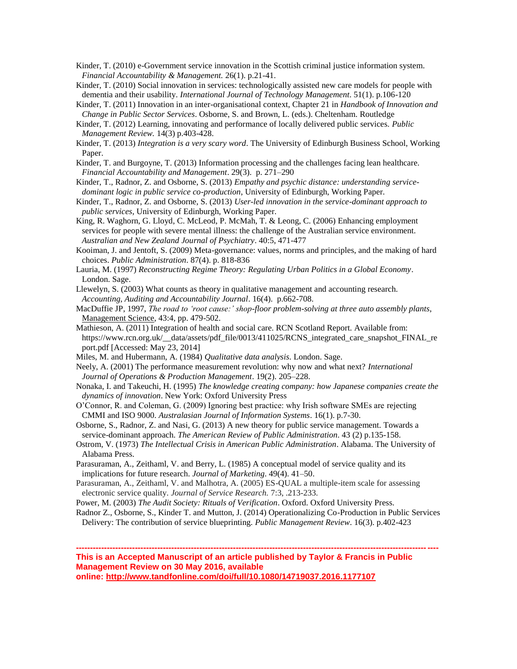- Kinder, T. (2010) e-Government service innovation in the Scottish criminal justice information system. *Financial Accountability & Management.* 26(1). p.21-41.
- Kinder, T. (2010) Social innovation in services: technologically assisted new care models for people with dementia and their usability. *International Journal of Technology Management*. 51(1). p.106-120
- Kinder, T. (2011) Innovation in an inter-organisational context, Chapter 21 in *Handbook of Innovation and Change in Public Sector Services*. Osborne, S. and Brown, L. (eds.). Cheltenham. Routledge
- Kinder, T. (2012) Learning, innovating and performance of locally delivered public services. *Public Management Review.* 14(3) p.403-428.
- Kinder, T. (2013) *Integration is a very scary word*. The University of Edinburgh Business School, Working Paper.
- Kinder, T. and Burgoyne, T. (2013) Information processing and the challenges facing lean healthcare. *Financial Accountability and Management*. 29(3). p. 271–290
- Kinder, T., Radnor, Z. and Osborne, S. (2013) *Empathy and psychic distance: understanding servicedominant logic in public service co-production*, University of Edinburgh, Working Paper.
- Kinder, T., Radnor, Z. and Osborne, S. (2013) *User-led innovation in the service-dominant approach to public services*, University of Edinburgh, Working Paper.
- King, R. Waghorn, G. Lloyd, C. McLeod, P. McMah, T. & Leong, C. (2006) Enhancing employment services for people with severe mental illness: the challenge of the Australian service environment. *Australian and New Zealand Journal of Psychiatry*. 40:5, 471-477
- Kooiman, J. and Jentoft, S. (2009) Meta-governance: values, norms and principles, and the making of hard choices. *Public Administration*. 87(4). p. 818-836
- Lauria, M. (1997) *Reconstructing Regime Theory: Regulating Urban Politics in a Global Economy*. London. Sage.
- Llewelyn, S. (2003) What counts as theory in qualitative management and accounting research. *Accounting, Auditing and Accountability Journal*. 16(4). p.662-708.

MacDuffie JP, 1997, *The road to 'root cause:' shop-floor problem-solving at three auto assembly plants*, Management Science, 43:4, pp. 479-502.

- Mathieson, A. (2011) Integration of health and social care. RCN Scotland Report. Available from: https://www.rcn.org.uk/\_\_data/assets/pdf\_file/0013/411025/RCNS\_integrated\_care\_snapshot\_FINAL\_re port.pdf [Accessed: May 23, 2014]
- Miles, M. and Hubermann, A. (1984) *Qualitative data analysis*. London. Sage.
- Neely, A. (2001) The performance measurement revolution: why now and what next? *International Journal of Operations & Production Management*. 19(2). 205–228.
- Nonaka, I. and Takeuchi, H. (1995) *The knowledge creating company: how Japanese companies create the dynamics of innovation*. New York: Oxford University Press
- O'Connor, R. and Coleman, G. (2009) Ignoring best practice: why Irish software SMEs are rejecting CMMI and ISO 9000. *Australasian Journal of Information Systems*. 16(1). p.7-30.
- Osborne, S., Radnor, Z. and Nasi, G. (2013) A new theory for public service management. Towards a service-dominant approach. *The American Review of Public Administration*. 43 (2) p.135-158.
- Ostrom, V. (1973) *The Intellectual Crisis in American Public Administration*. Alabama. The University of Alabama Press.
- Parasuraman, A., Zeithaml, V. and Berry, L. (1985) A conceptual model of service quality and its implications for future research. *Journal of Marketing*. 49(4). 41–50.
- Parasuraman, A., Zeithaml, V. and Malhotra, A. (2005) ES-QUAL a multiple-item scale for assessing electronic service quality. *Journal of Service Research.* 7:3, .213-233.
- Power, M. (2003) *The Audit Society: Rituals of Verification*. Oxford. Oxford University Press.
- Radnor Z., Osborne, S., Kinder T. and Mutton, J. (2014) Operationalizing Co-Production in Public Services Delivery: The contribution of service blueprinting. *Public Management Review*. 16(3). p.402-423

**---------------------------------------------------------------------------------------------------------------------------------**

**This is an Accepted Manuscript of an article published by Taylor & Francis in Public Management Review on 30 May 2016, available online: http://www.tandfonline.com/doi/full/10.1080/14719037.2016.1177107**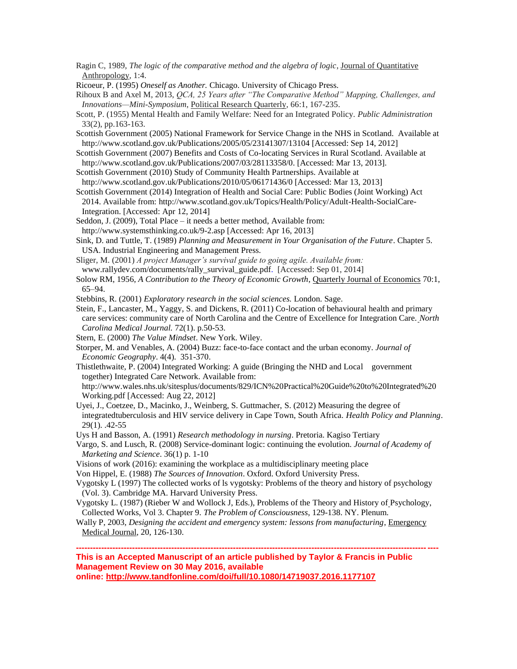- Ragin C, 1989, *The logic of the comparative method and the algebra of logic*, Journal of Quantitative Anthropology*,* 1:4.
- Ricoeur, P. (1995) *Oneself as Another.* Chicago. University of Chicago Press.
- Rihoux B and Axel M, 2013, *QCA, 25 Years after "The Comparative Method" Mapping, Challenges, and Innovations—Mini-Symposium*, Political Research Quarterly*,* 66:1, 167-235.
- Scott, P. (1955) Mental Health and Family Welfare: Need for an Integrated Policy. *Public Administration* 33(2), pp.163-163.
- Scottish Government (2005) National Framework for Service Change in the NHS in Scotland. Available at http://www.scotland.gov.uk/Publications/2005/05/23141307/13104 [Accessed: Sep 14, 2012]
- Scottish Government (2007) Benefits and Costs of Co-locating Services in Rural Scotland. Available at [http://www.scotland.gov.uk/Publications/2007/03/28113358/0.](http://www.scotland.gov.uk/Publications/2007/03/28113358/0) [Accessed: Mar 13, 2013].
- Scottish Government (2010) Study of Community Health Partnerships. Available at http://www.scotland.gov.uk/Publications/2010/05/06171436/0 [Accessed: Mar 13, 2013]
- Scottish Government (2014) Integration of Health and Social Care: Public Bodies (Joint Working) Act 2014. Available from: [http://www.scotland.gov.uk/Topics/Health/Policy/Adult-Health-SocialCare-](http://www.scotland.gov.uk/Topics/Health/Policy/Adult-Health-SocialCare-Integration)[Integration.](http://www.scotland.gov.uk/Topics/Health/Policy/Adult-Health-SocialCare-Integration) [Accessed: Apr 12, 2014]
- Seddon, J. (2009), Total Place it needs a better method, Available from:
- http://www.systemsthinking.co.uk/9-2.asp [Accessed: Apr 16, 2013]
- Sink, D. and Tuttle, T. (1989) *Planning and Measurement in Your Organisation of the Future*. Chapter 5. USA. Industrial Engineering and Management Press.
- Sliger, M. (2001) *A project Manager's survival guide to going agile. Available from:*  www.rallydev.com/documents/rally\_survival\_guide.pdf. [Accessed: Sep 01, 2014]
- Solow RM, 1956, *A Contribution to the Theory of Economic Growth*, Quarterly Journal of Economics 70:1, 65–94.
- Stebbins, R. (2001) *Exploratory research in the social sciences.* London. Sage.
- Stein, F., Lancaster, M., Yaggy, S. and Dickens, R. (2011) Co-location of behavioural health and primary care services: community care of North Carolina and the Centre of Excellence for Integration Care. *North Carolina Medical Journal.* 72(1). p.50-53.
- Stern, E. (2000) *The Value Mindset*. New York. Wiley.
- Storper, M. and Venables, A. (2004) Buzz: face-to-face contact and the urban economy. *Journal of Economic Geography*. 4(4). 351-370.
- Thistlethwaite, P. (2004) Integrated Working: A guide (Bringing the NHD and Local government together) Integrated Care Network. Available from:

http://www.wales.nhs.uk/sitesplus/documents/829/ICN%20Practical%20Guide%20to%20Integrated%20 Working.pdf [Accessed: Aug 22, 2012]

Uyei, J., Coetzee, D., Macinko, J., Weinberg, S. Guttmacher, S. (2012) Measuring the degree of integratedtuberculosis and HIV service delivery in Cape Town, South Africa. *Health Policy and Planning*. 29(1). .42-55

Uys H and Basson, A. (1991) *Research methodology in nursing*. Pretoria. Kagiso Tertiary

- Vargo, S. and Lusch, R. (2008) Service-dominant logic: continuing the evolution. *Journal of Academy of Marketing and Science*. 36(1) p. 1-10
- Visions of work (2016): examining the workplace as a multidisciplinary meeting place
- Von Hippel, E. (1988) *The Sources of Innovation*. Oxford. Oxford University Press.

Vygotsky L (1997) The collected works of ls vygotsky: Problems of the theory and history of psychology (Vol. 3). Cambridge MA. Harvard University Press.

- Vygotsky L. (1987) (Rieber W and Wollock J, Eds.), Problems of the Theory and History of Psychology, Collected Works, Vol 3. Chapter 9*. The Problem of Consciousness*, 129-138. NY. Plenum.
- Wally P, 2003, *Designing the accident and emergency system: lessons from manufacturing*, Emergency Medical Journal, 20, 126-130.